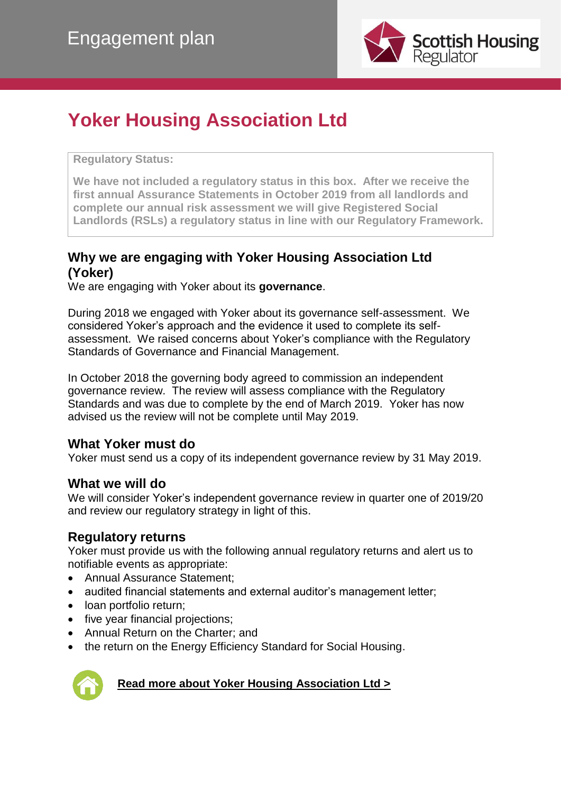

## **Yoker Housing Association Ltd**

**Regulatory Status:** 

**We have not included a regulatory status in this box. After we receive the first annual Assurance Statements in October 2019 from all landlords and complete our annual risk assessment we will give Registered Social Landlords (RSLs) a regulatory status in line with our Regulatory Framework.**

#### **Why we are engaging with Yoker Housing Association Ltd (Yoker)**

We are engaging with Yoker about its **governance**.

During 2018 we engaged with Yoker about its governance self-assessment. We considered Yoker's approach and the evidence it used to complete its selfassessment. We raised concerns about Yoker's compliance with the Regulatory Standards of Governance and Financial Management.

In October 2018 the governing body agreed to commission an independent governance review. The review will assess compliance with the Regulatory Standards and was due to complete by the end of March 2019. Yoker has now advised us the review will not be complete until May 2019.

#### **What Yoker must do**

Yoker must send us a copy of its independent governance review by 31 May 2019.

#### **What we will do**

We will consider Yoker's independent governance review in quarter one of 2019/20 and review our regulatory strategy in light of this.

#### **Regulatory returns**

Yoker must provide us with the following annual regulatory returns and alert us to notifiable events as appropriate:

- Annual Assurance Statement:
- audited financial statements and external auditor's management letter;
- loan portfolio return;
- five year financial projections;
- Annual Return on the Charter; and
- the return on the Energy Efficiency Standard for Social Housing.



#### **[Read more about Yoker Housing Association Ltd >](http://directory.scottishhousingregulator.gov.uk/Pages/landlord.aspx?LAtoZNameQS=CC6BA67C-CFA9-E311-93F1-005056B555E6)**